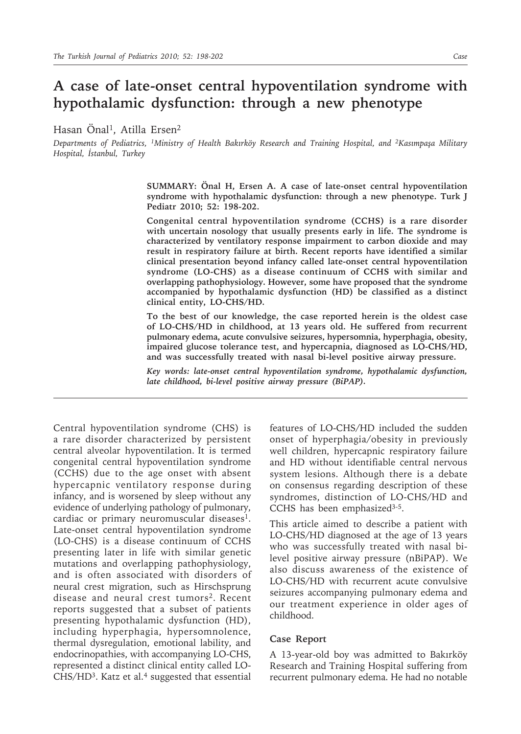## **A case of late-onset central hypoventilation syndrome with hypothalamic dysfunction: through a new phenotype**

Hasan Önal<sup>1</sup>, Atilla Ersen<sup>2</sup>

*Departments of Pediatrics, 1Ministry of Health Bakırköy Research and Training Hospital, and 2Kasımpaşa Military Hospital, İstanbul, Turkey*

> **SUMMARY: Önal H, Ersen A. A case of late-onset central hypoventilation syndrome with hypothalamic dysfunction: through a new phenotype. Turk J Pediatr 2010; 52: 198-202.**

> **Congenital central hypoventilation syndrome (CCHS) is a rare disorder with uncertain nosology that usually presents early in life. The syndrome is characterized by ventilatory response impairment to carbon dioxide and may result in respiratory failure at birth. Recent reports have identified a similar clinical presentation beyond infancy called late-onset central hypoventilation syndrome (LO-CHS) as a disease continuum of CCHS with similar and overlapping pathophysiology. However, some have proposed that the syndrome accompanied by hypothalamic dysfunction (HD) be classified as a distinct clinical entity, LO-CHS/HD.**

> **To the best of our knowledge, the case reported herein is the oldest case of LO-CHS/HD in childhood, at 13 years old. He suffered from recurrent pulmonary edema, acute convulsive seizures, hypersomnia, hyperphagia, obesity, impaired glucose tolerance test, and hypercapnia, diagnosed as LO-CHS/HD, and was successfully treated with nasal bi-level positive airway pressure.**

> *Key words: late-onset central hypoventilation syndrome, hypothalamic dysfunction, late childhood, bi-level positive airway pressure (BiPAP).*

Central hypoventilation syndrome (CHS) is a rare disorder characterized by persistent central alveolar hypoventilation. It is termed congenital central hypoventilation syndrome (CCHS) due to the age onset with absent hypercapnic ventilatory response during infancy, and is worsened by sleep without any evidence of underlying pathology of pulmonary, cardiac or primary neuromuscular diseases<sup>1</sup>. Late-onset central hypoventilation syndrome (LO-CHS) is a disease continuum of CCHS presenting later in life with similar genetic mutations and overlapping pathophysiology, and is often associated with disorders of neural crest migration, such as Hirschsprung disease and neural crest tumors<sup>2</sup>. Recent reports suggested that a subset of patients presenting hypothalamic dysfunction (HD), including hyperphagia, hypersomnolence, thermal dysregulation, emotional lability, and endocrinopathies, with accompanying LO-CHS, represented a distinct clinical entity called LO- $CHS/HD<sup>3</sup>$ . Katz et al.<sup>4</sup> suggested that essential

features of LO-CHS/HD included the sudden onset of hyperphagia/obesity in previously well children, hypercapnic respiratory failure and HD without identifiable central nervous system lesions. Although there is a debate on consensus regarding description of these syndromes, distinction of LO-CHS/HD and CCHS has been emphasized<sup>3-5</sup>.

This article aimed to describe a patient with LO-CHS/HD diagnosed at the age of 13 years who was successfully treated with nasal bilevel positive airway pressure (nBiPAP). We also discuss awareness of the existence of LO-CHS/HD with recurrent acute convulsive seizures accompanying pulmonary edema and our treatment experience in older ages of childhood.

## **Case Report**

A 13-year-old boy was admitted to Bakırköy Research and Training Hospital suffering from recurrent pulmonary edema. He had no notable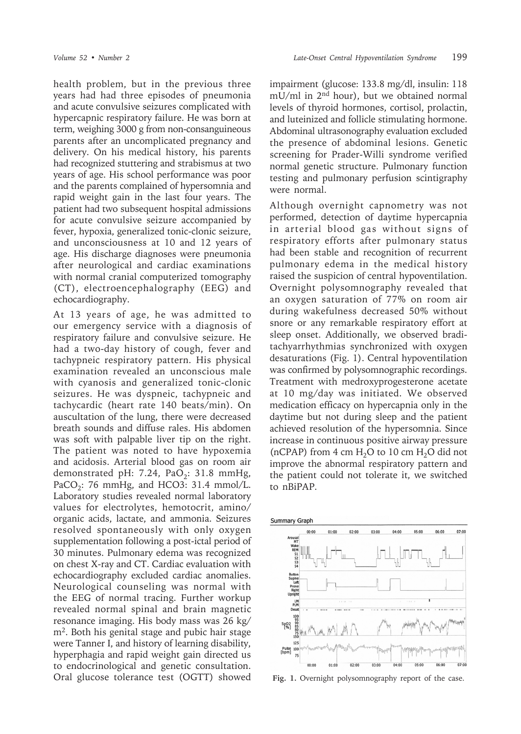health problem, but in the previous three years had had three episodes of pneumonia and acute convulsive seizures complicated with hypercapnic respiratory failure. He was born at term, weighing 3000 g from non-consanguineous parents after an uncomplicated pregnancy and delivery. On his medical history, his parents had recognized stuttering and strabismus at two years of age. His school performance was poor and the parents complained of hypersomnia and rapid weight gain in the last four years. The patient had two subsequent hospital admissions for acute convulsive seizure accompanied by fever, hypoxia, generalized tonic-clonic seizure, and unconsciousness at 10 and 12 years of age. His discharge diagnoses were pneumonia after neurological and cardiac examinations with normal cranial computerized tomography (CT), electroencephalography (EEG) and echocardiography.

At 13 years of age, he was admitted to our emergency service with a diagnosis of respiratory failure and convulsive seizure. He had a two-day history of cough, fever and tachypneic respiratory pattern. His physical examination revealed an unconscious male with cyanosis and generalized tonic-clonic seizures. He was dyspneic, tachypneic and tachycardic (heart rate 140 beats/min). On auscultation of the lung, there were decreased breath sounds and diffuse rales. His abdomen was soft with palpable liver tip on the right. The patient was noted to have hypoxemia and acidosis. Arterial blood gas on room air demonstrated pH: 7.24, PaO<sub>2</sub>: 31.8 mmHg, PaCO<sub>2</sub>: 76 mmHg, and HCO3: 31.4 mmol/L. Laboratory studies revealed normal laboratory values for electrolytes, hemotocrit, amino/ organic acids, lactate, and ammonia. Seizures resolved spontaneously with only oxygen supplementation following a post-ictal period of 30 minutes. Pulmonary edema was recognized on chest X-ray and CT. Cardiac evaluation with echocardiography excluded cardiac anomalies. Neurological counseling was normal with the EEG of normal tracing. Further workup revealed normal spinal and brain magnetic resonance imaging. His body mass was 26 kg/ m2. Both his genital stage and pubic hair stage were Tanner I, and history of learning disability, hyperphagia and rapid weight gain directed us to endocrinological and genetic consultation. Oral glucose tolerance test (OGTT) showed

impairment (glucose: 133.8 mg/dl, insulin: 118 mU/ml in 2nd hour), but we obtained normal levels of thyroid hormones, cortisol, prolactin, and luteinized and follicle stimulating hormone. Abdominal ultrasonography evaluation excluded the presence of abdominal lesions. Genetic screening for Prader-Willi syndrome verified normal genetic structure. Pulmonary function testing and pulmonary perfusion scintigraphy were normal.

Although overnight capnometry was not performed, detection of daytime hypercapnia in arterial blood gas without signs of respiratory efforts after pulmonary status had been stable and recognition of recurrent pulmonary edema in the medical history raised the suspicion of central hypoventilation. Overnight polysomnography revealed that an oxygen saturation of 77% on room air during wakefulness decreased 50% without snore or any remarkable respiratory effort at sleep onset. Additionally, we observed braditachyarrhythmias synchronized with oxygen desaturations (Fig. 1). Central hypoventilation was confirmed by polysomnographic recordings. Treatment with medroxyprogesterone acetate at 10 mg/day was initiated. We observed medication efficacy on hypercapnia only in the daytime but not during sleep and the patient achieved resolution of the hypersomnia. Since increase in continuous positive airway pressure (nCPAP) from 4 cm  $H_2O$  to 10 cm  $H_2O$  did not improve the abnormal respiratory pattern and the patient could not tolerate it, we switched to nBiPAP.



**Fig. 1.** Overnight polysomnography report of the case.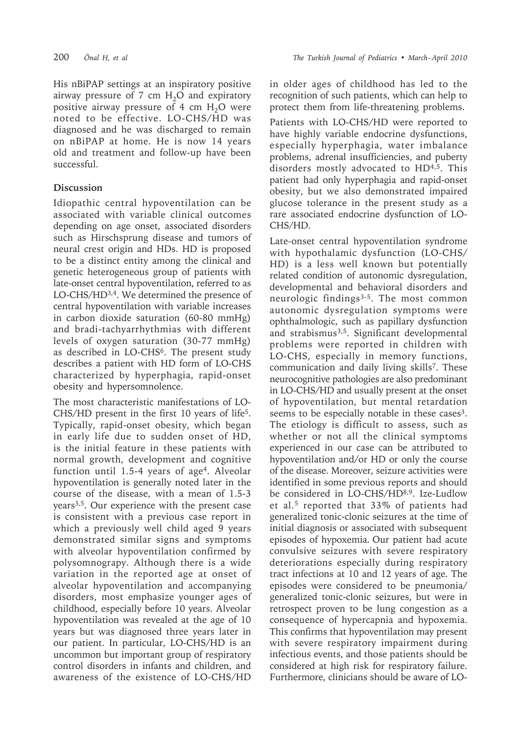His nBiPAP settings at an inspiratory positive airway pressure of 7 cm  $H_2O$  and expiratory positive airway pressure of 4 cm  $H_2O$  were noted to be effective. LO-CHS/HD was diagnosed and he was discharged to remain on nBiPAP at home. He is now 14 years old and treatment and follow-up have been successful.

## **Discussion**

Idiopathic central hypoventilation can be associated with variable clinical outcomes depending on age onset, associated disorders such as Hirschsprung disease and tumors of neural crest origin and HDs. HD is proposed to be a distinct entity among the clinical and genetic heterogeneous group of patients with late-onset central hypoventilation, referred to as LO-CHS/HD<sup>3,4</sup>. We determined the presence of central hypoventilation with variable increases in carbon dioxide saturation (60-80 mmHg) and bradi-tachyarrhythmias with different levels of oxygen saturation (30-77 mmHg) as described in LO-CHS6. The present study describes a patient with HD form of LO-CHS characterized by hyperphagia, rapid-onset obesity and hypersomnolence.

The most characteristic manifestations of LO-CHS/HD present in the first 10 years of life5. Typically, rapid-onset obesity, which began in early life due to sudden onset of HD, is the initial feature in these patients with normal growth, development and cognitive function until 1.5-4 years of age<sup>4</sup>. Alveolar hypoventilation is generally noted later in the course of the disease, with a mean of 1.5-3 years3,5. Our experience with the present case is consistent with a previous case report in which a previously well child aged 9 years demonstrated similar signs and symptoms with alveolar hypoventilation confirmed by polysomnograpy. Although there is a wide variation in the reported age at onset of alveolar hypoventilation and accompanying disorders, most emphasize younger ages of childhood, especially before 10 years. Alveolar hypoventilation was revealed at the age of 10 years but was diagnosed three years later in our patient. In particular, LO-CHS/HD is an uncommon but important group of respiratory control disorders in infants and children, and awareness of the existence of LO-CHS/HD

in older ages of childhood has led to the recognition of such patients, which can help to protect them from life-threatening problems.

Patients with LO-CHS/HD were reported to have highly variable endocrine dysfunctions, especially hyperphagia, water imbalance problems, adrenal insufficiencies, and puberty disorders mostly advocated to HD4,5. This patient had only hyperphagia and rapid-onset obesity, but we also demonstrated impaired glucose tolerance in the present study as a rare associated endocrine dysfunction of LO-CHS/HD.

Late-onset central hypoventilation syndrome with hypothalamic dysfunction (LO-CHS/ HD) is a less well known but potentially related condition of autonomic dysregulation, developmental and behavioral disorders and neurologic findings<sup>3-5</sup>. The most common autonomic dysregulation symptoms were ophthalmologic, such as papillary dysfunction and strabismus3,5. Significant developmental problems were reported in children with LO-CHS, especially in memory functions, communication and daily living skills<sup>7</sup>. These neurocognitive pathologies are also predominant in LO-CHS/HD and usually present at the onset of hypoventilation, but mental retardation seems to be especially notable in these cases<sup>3</sup>. The etiology is difficult to assess, such as whether or not all the clinical symptoms experienced in our case can be attributed to hypoventilation and/or HD or only the course of the disease. Moreover, seizure activities were identified in some previous reports and should be considered in LO-CHS/HD8,9. Ize-Ludlow et al.5 reported that 33% of patients had generalized tonic-clonic seizures at the time of initial diagnosis or associated with subsequent episodes of hypoxemia. Our patient had acute convulsive seizures with severe respiratory deteriorations especially during respiratory tract infections at 10 and 12 years of age. The episodes were considered to be pneumonia/ generalized tonic-clonic seizures, but were in retrospect proven to be lung congestion as a consequence of hypercapnia and hypoxemia. This confirms that hypoventilation may present with severe respiratory impairment during infectious events, and those patients should be considered at high risk for respiratory failure. Furthermore, clinicians should be aware of LO-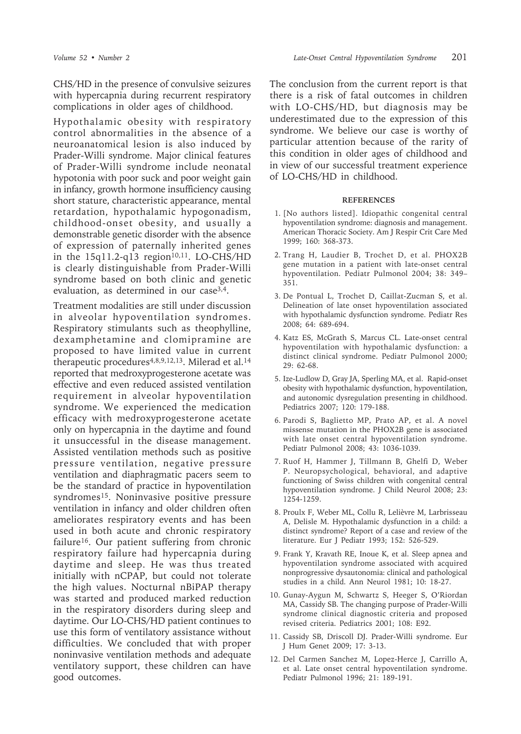CHS/HD in the presence of convulsive seizures with hypercapnia during recurrent respiratory complications in older ages of childhood.

Hypothalamic obesity with respiratory control abnormalities in the absence of a neuroanatomical lesion is also induced by Prader-Willi syndrome. Major clinical features of Prader-Willi syndrome include neonatal hypotonia with poor suck and poor weight gain in infancy, growth hormone insufficiency causing short stature, characteristic appearance, mental retardation, hypothalamic hypogonadism, childhood-onset obesity, and usually a demonstrable genetic disorder with the absence of expression of paternally inherited genes in the  $15q11.2-q13$  region<sup>10,11</sup>. LO-CHS/HD is clearly distinguishable from Prader-Willi syndrome based on both clinic and genetic evaluation, as determined in our case3,4.

Treatment modalities are still under discussion in alveolar hypoventilation syndromes. Respiratory stimulants such as theophylline, dexamphetamine and clomipramine are proposed to have limited value in current therapeutic procedures<sup>4,8,9,12,13</sup>. Milerad et al.<sup>14</sup> reported that medroxyprogesterone acetate was effective and even reduced assisted ventilation requirement in alveolar hypoventilation syndrome. We experienced the medication efficacy with medroxyprogesterone acetate only on hypercapnia in the daytime and found it unsuccessful in the disease management. Assisted ventilation methods such as positive pressure ventilation, negative pressure ventilation and diaphragmatic pacers seem to be the standard of practice in hypoventilation syndromes<sup>15</sup>. Noninvasive positive pressure ventilation in infancy and older children often ameliorates respiratory events and has been used in both acute and chronic respiratory failure<sup>16</sup>. Our patient suffering from chronic respiratory failure had hypercapnia during daytime and sleep. He was thus treated initially with nCPAP, but could not tolerate the high values. Nocturnal nBiPAP therapy was started and produced marked reduction in the respiratory disorders during sleep and daytime. Our LO-CHS/HD patient continues to use this form of ventilatory assistance without difficulties. We concluded that with proper noninvasive ventilation methods and adequate ventilatory support, these children can have good outcomes.

The conclusion from the current report is that there is a risk of fatal outcomes in children with LO-CHS/HD, but diagnosis may be underestimated due to the expression of this syndrome. We believe our case is worthy of particular attention because of the rarity of this condition in older ages of childhood and in view of our successful treatment experience of LO-CHS/HD in childhood.

## **REFERENCES**

- 1. [No authors listed]. Idiopathic congenital central hypoventilation syndrome: diagnosis and management. American Thoracic Society. Am J Respir Crit Care Med 1999; 160: 368-373.
- 2. Trang H, Laudier B, Trochet D, et al. PHOX2B gene mutation in a patient with late-onset central hypoventilation. Pediatr Pulmonol 2004; 38: 349– 351.
- 3. De Pontual L, Trochet D, Caillat-Zucman S, et al. Delineation of late onset hypoventilation associated with hypothalamic dysfunction syndrome. Pediatr Res 2008; 64: 689-694.
- 4. Katz ES, McGrath S, Marcus CL. Late-onset central hypoventilation with hypothalamic dysfunction: a distinct clinical syndrome. Pediatr Pulmonol 2000; 29: 62-68.
- 5. Ize-Ludlow D, Gray JA, Sperling MA, et al. Rapid-onset obesity with hypothalamic dysfunction, hypoventilation, and autonomic dysregulation presenting in childhood. Pediatrics 2007; 120: 179-188.
- 6. Parodi S, Baglietto MP, Prato AP, et al. A novel missense mutation in the PHOX2B gene is associated with late onset central hypoventilation syndrome. Pediatr Pulmonol 2008; 43: 1036-1039.
- 7. Ruof H, Hammer J, Tillmann B, Ghelfi D, Weber P. Neuropsychological, behavioral, and adaptive functioning of Swiss children with congenital central hypoventilation syndrome. J Child Neurol 2008; 23: 1254-1259.
- 8. Proulx F, Weber ML, Collu R, Lelièvre M, Larbrisseau A, Delisle M. Hypothalamic dysfunction in a child: a distinct syndrome? Report of a case and review of the literature. Eur J Pediatr 1993; 152: 526-529.
- 9. Frank Y, Kravath RE, Inoue K, et al. Sleep apnea and hypoventilation syndrome associated with acquired nonprogressive dysautonomia: clinical and pathological studies in a child. Ann Neurol 1981; 10: 18-27.
- 10. Gunay-Aygun M, Schwartz S, Heeger S, O'Riordan MA, Cassidy SB. The changing purpose of Prader-Willi syndrome clinical diagnostic criteria and proposed revised criteria. Pediatrics 2001; 108: E92.
- 11. Cassidy SB, Driscoll DJ. Prader-Willi syndrome. Eur J Hum Genet 2009; 17: 3-13.
- 12. Del Carmen Sanchez M, Lopez-Herce J, Carrillo A, et al. Late onset central hypoventilation syndrome. Pediatr Pulmonol 1996; 21: 189-191.